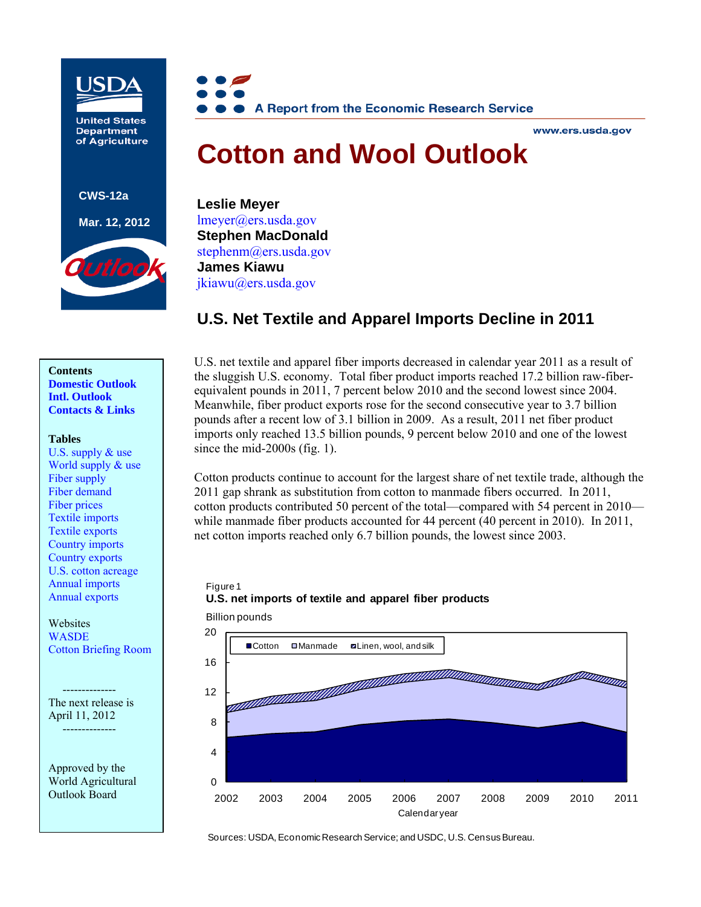

**United States Department** of Agriculture

**CWS-12a** 

**Mar. 12, 2012**





#### www.ers.usda.gov

# **Cotton and Wool Outlook**

**Leslie Meyer**  [lmeyer@ers.usda.gov](mailto:lmeyer@ers.usda.gov) **Stephen MacDonald**  stephenm@ers.usda.gov**James Kiawu** [jkiawu@ers.usda.gov](mailto:jkiawu@ers.usda.gov)

# **U.S. Net Textile and Apparel Imports Decline in 2011**

# **Contents [Domestic Outlook](#page-1-0)**

**[Intl. Outlook](#page-3-0)  [Contacts & Links](#page-6-0)** 

#### **Tables**

[U.S. supply & use](#page-7-0)  World supply  $\&$  use [Fiber supply](#page-9-0)  [Fiber demand](#page-10-0)  [Fiber prices](#page-11-0)  [Textile imports](#page-12-0)  [Textile exports](#page-13-0)  [Country imports](#page-14-0)  [Country exports](#page-15-0)  [U.S. cotton acreage](#page-16-0)  [Annual imports](#page-17-0)  [Annual exports](#page-18-0) 

Websites [WASDE](http://usda.mannlib.cornell.edu/MannUsda/viewDocumentInfo.do?documentID=1194)  [Cotton Briefing Room](http://usda.mannlib.cornell.edu?MannUsda/viewDocumentInfo.do?documentID=1281)

 -------------- The next release is April 11, 2012 --------------

Approved by the World Agricultural Outlook Board

U.S. net textile and apparel fiber imports decreased in calendar year 2011 as a result of the sluggish U.S. economy. Total fiber product imports reached 17.2 billion raw-fiberequivalent pounds in 2011, 7 percent below 2010 and the second lowest since 2004. Meanwhile, fiber product exports rose for the second consecutive year to 3.7 billion pounds after a recent low of 3.1 billion in 2009. As a result, 2011 net fiber product imports only reached 13.5 billion pounds, 9 percent below 2010 and one of the lowest since the mid-2000s (fig. 1).

Cotton products continue to account for the largest share of net textile trade, although the 2011 gap shrank as substitution from cotton to manmade fibers occurred. In 2011, cotton products contributed 50 percent of the total—compared with 54 percent in 2010 while manmade fiber products accounted for 44 percent (40 percent in 2010). In 2011, net cotton imports reached only 6.7 billion pounds, the lowest since 2003.

# Figure 1 **U.S. net imports of textile and apparel fiber products**



Sources: USDA, Economic Research Service; and USDC, U.S. Census Bureau.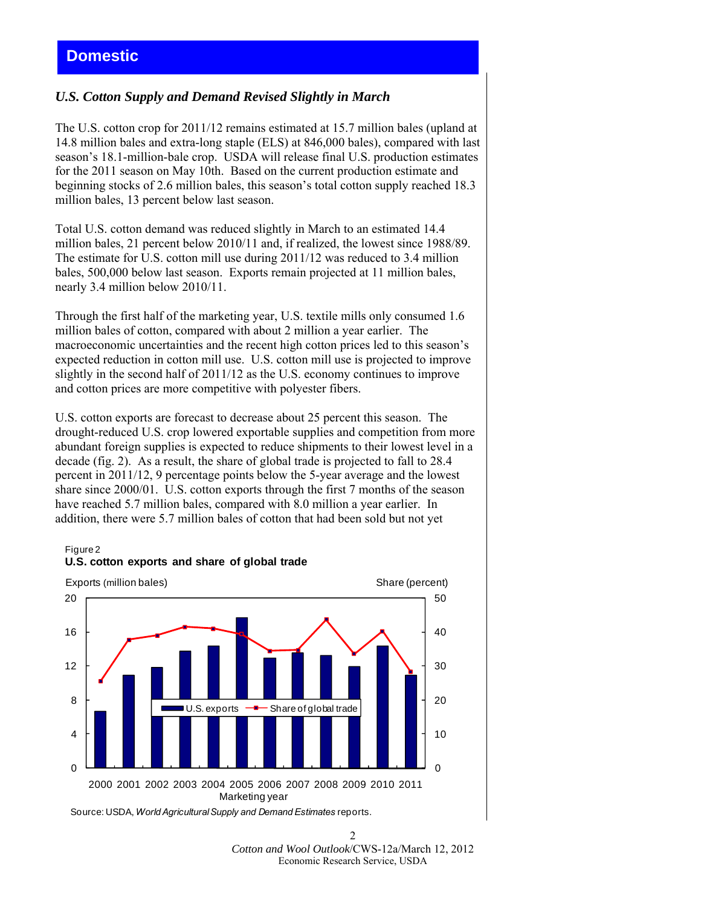# <span id="page-1-0"></span>**Domestic**

## *U.S. Cotton Supply and Demand Revised Slightly in March*

The U.S. cotton crop for 2011/12 remains estimated at 15.7 million bales (upland at 14.8 million bales and extra-long staple (ELS) at 846,000 bales), compared with last season's 18.1-million-bale crop. USDA will release final U.S. production estimates for the 2011 season on May 10th. Based on the current production estimate and beginning stocks of 2.6 million bales, this season's total cotton supply reached 18.3 million bales, 13 percent below last season.

Total U.S. cotton demand was reduced slightly in March to an estimated 14.4 million bales, 21 percent below 2010/11 and, if realized, the lowest since 1988/89. The estimate for U.S. cotton mill use during 2011/12 was reduced to 3.4 million bales, 500,000 below last season. Exports remain projected at 11 million bales, nearly 3.4 million below 2010/11.

Through the first half of the marketing year, U.S. textile mills only consumed 1.6 million bales of cotton, compared with about 2 million a year earlier. The macroeconomic uncertainties and the recent high cotton prices led to this season's expected reduction in cotton mill use. U.S. cotton mill use is projected to improve slightly in the second half of 2011/12 as the U.S. economy continues to improve and cotton prices are more competitive with polyester fibers.

U.S. cotton exports are forecast to decrease about 25 percent this season. The drought-reduced U.S. crop lowered exportable supplies and competition from more abundant foreign supplies is expected to reduce shipments to their lowest level in a decade (fig. 2). As a result, the share of global trade is projected to fall to 28.4 percent in 2011/12, 9 percentage points below the 5-year average and the lowest share since 2000/01. U.S. cotton exports through the first 7 months of the season have reached 5.7 million bales, compared with 8.0 million a year earlier. In addition, there were 5.7 million bales of cotton that had been sold but not yet

#### Figure 2 **U.S. cotton exports and share of global trade**



Source: USDA, *World Agricultural Supply and Demand Estimates* reports.

 $\mathcal{D}$ *Cotton and Wool Outlook*/CWS-12a/March 12, 2012 Economic Research Service, USDA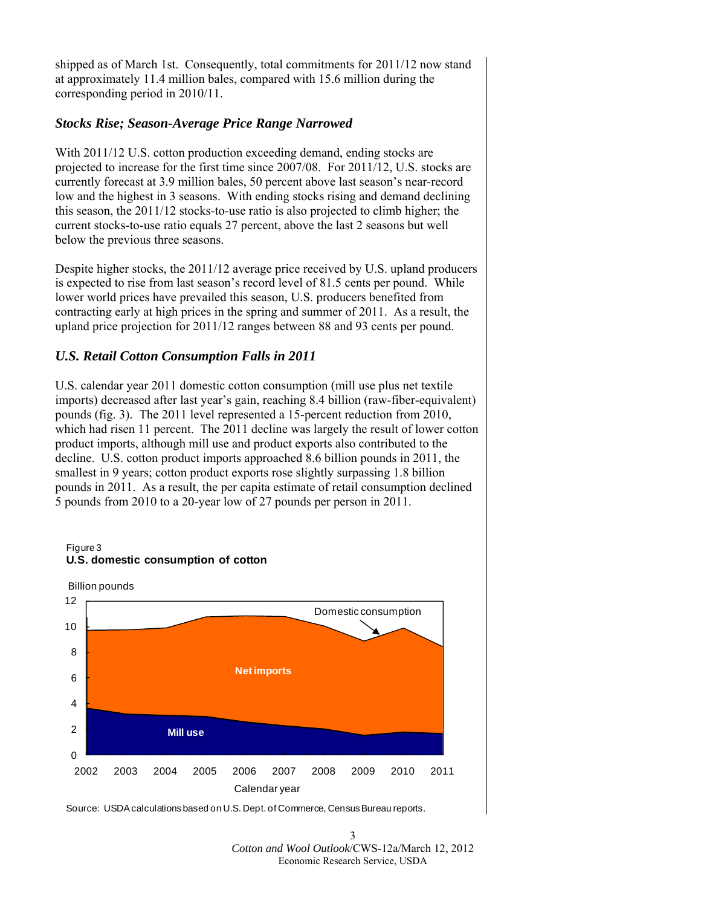shipped as of March 1st. Consequently, total commitments for 2011/12 now stand at approximately 11.4 million bales, compared with 15.6 million during the corresponding period in 2010/11.

## *Stocks Rise; Season-Average Price Range Narrowed*

With 2011/12 U.S. cotton production exceeding demand, ending stocks are projected to increase for the first time since 2007/08. For 2011/12, U.S. stocks are currently forecast at 3.9 million bales, 50 percent above last season's near-record low and the highest in 3 seasons. With ending stocks rising and demand declining this season, the 2011/12 stocks-to-use ratio is also projected to climb higher; the current stocks-to-use ratio equals 27 percent, above the last 2 seasons but well below the previous three seasons.

Despite higher stocks, the 2011/12 average price received by U.S. upland producers is expected to rise from last season's record level of 81.5 cents per pound. While lower world prices have prevailed this season, U.S. producers benefited from contracting early at high prices in the spring and summer of 2011. As a result, the upland price projection for 2011/12 ranges between 88 and 93 cents per pound.

## *U.S. Retail Cotton Consumption Falls in 2011*

U.S. calendar year 2011 domestic cotton consumption (mill use plus net textile imports) decreased after last year's gain, reaching 8.4 billion (raw-fiber-equivalent) pounds (fig. 3). The 2011 level represented a 15-percent reduction from 2010, which had risen 11 percent. The 2011 decline was largely the result of lower cotton product imports, although mill use and product exports also contributed to the decline. U.S. cotton product imports approached 8.6 billion pounds in 2011, the smallest in 9 years; cotton product exports rose slightly surpassing 1.8 billion pounds in 2011. As a result, the per capita estimate of retail consumption declined 5 pounds from 2010 to a 20-year low of 27 pounds per person in 2011.



Source: USDA calculations based on U.S. Dept. of Commerce, Census Bureau reports.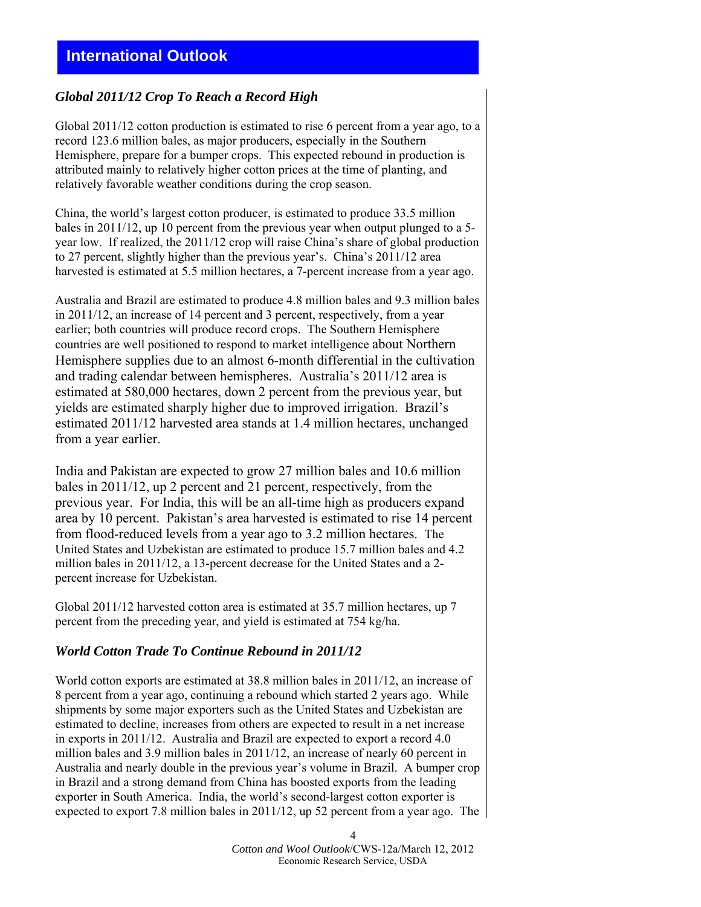## <span id="page-3-0"></span>*Global 2011/12 Crop To Reach a Record High*

Global 2011/12 cotton production is estimated to rise 6 percent from a year ago, to a record 123.6 million bales, as major producers, especially in the Southern Hemisphere, prepare for a bumper crops. This expected rebound in production is attributed mainly to relatively higher cotton prices at the time of planting, and relatively favorable weather conditions during the crop season.

China, the world's largest cotton producer, is estimated to produce 33.5 million bales in 2011/12, up 10 percent from the previous year when output plunged to a 5 year low. If realized, the 2011/12 crop will raise China's share of global production to 27 percent, slightly higher than the previous year's. China's 2011/12 area harvested is estimated at 5.5 million hectares, a 7-percent increase from a year ago.

Australia and Brazil are estimated to produce 4.8 million bales and 9.3 million bales in 2011/12, an increase of 14 percent and 3 percent, respectively, from a year earlier; both countries will produce record crops. The Southern Hemisphere countries are well positioned to respond to market intelligence about Northern Hemisphere supplies due to an almost 6-month differential in the cultivation and trading calendar between hemispheres. Australia's 2011/12 area is estimated at 580,000 hectares, down 2 percent from the previous year, but yields are estimated sharply higher due to improved irrigation. Brazil's estimated 2011/12 harvested area stands at 1.4 million hectares, unchanged from a year earlier.

India and Pakistan are expected to grow 27 million bales and 10.6 million bales in 2011/12, up 2 percent and 21 percent, respectively, from the previous year. For India, this will be an all-time high as producers expand area by 10 percent. Pakistan's area harvested is estimated to rise 14 percent from flood-reduced levels from a year ago to 3.2 million hectares. The United States and Uzbekistan are estimated to produce 15.7 million bales and 4.2 million bales in 2011/12, a 13-percent decrease for the United States and a 2 percent increase for Uzbekistan.

Global 2011/12 harvested cotton area is estimated at 35.7 million hectares, up 7 percent from the preceding year, and yield is estimated at 754 kg/ha.

## *World Cotton Trade To Continue Rebound in 2011/12*

World cotton exports are estimated at 38.8 million bales in 2011/12, an increase of 8 percent from a year ago, continuing a rebound which started 2 years ago. While shipments by some major exporters such as the United States and Uzbekistan are estimated to decline, increases from others are expected to result in a net increase in exports in 2011/12. Australia and Brazil are expected to export a record 4.0 million bales and 3.9 million bales in 2011/12, an increase of nearly 60 percent in Australia and nearly double in the previous year's volume in Brazil. A bumper crop in Brazil and a strong demand from China has boosted exports from the leading exporter in South America. India, the world's second-largest cotton exporter is expected to export 7.8 million bales in 2011/12, up 52 percent from a year ago. The

> *Cotton and Wool Outlook*/CWS-12a/March 12, 2012 Economic Research Service, USDA

4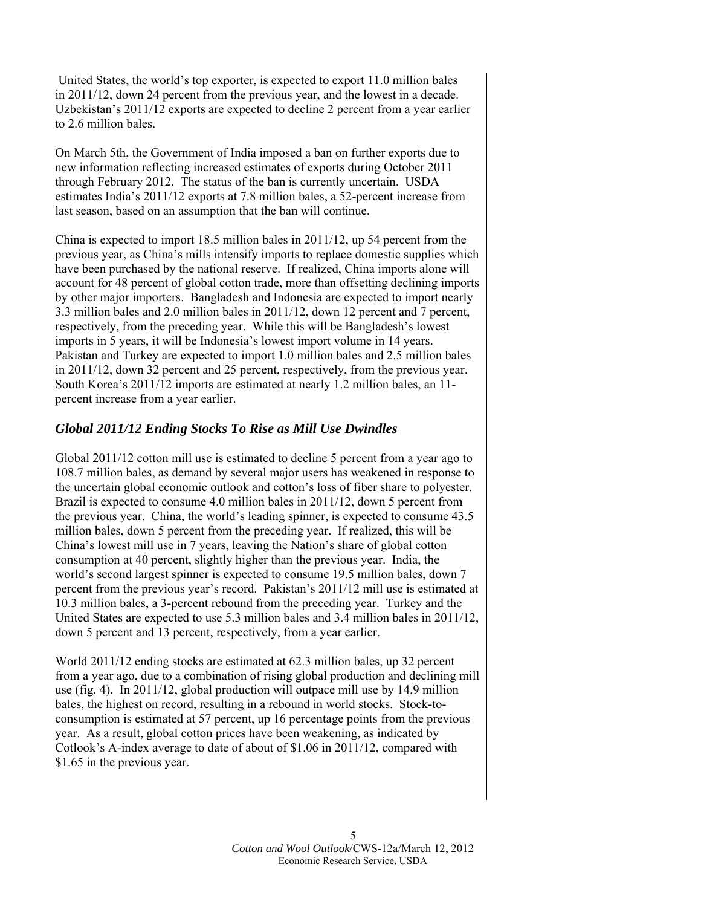United States, the world's top exporter, is expected to export 11.0 million bales in 2011/12, down 24 percent from the previous year, and the lowest in a decade. Uzbekistan's 2011/12 exports are expected to decline 2 percent from a year earlier to 2.6 million bales.

On March 5th, the Government of India imposed a ban on further exports due to new information reflecting increased estimates of exports during October 2011 through February 2012. The status of the ban is currently uncertain. USDA estimates India's 2011/12 exports at 7.8 million bales, a 52-percent increase from last season, based on an assumption that the ban will continue.

China is expected to import 18.5 million bales in 2011/12, up 54 percent from the previous year, as China's mills intensify imports to replace domestic supplies which have been purchased by the national reserve. If realized, China imports alone will account for 48 percent of global cotton trade, more than offsetting declining imports by other major importers. Bangladesh and Indonesia are expected to import nearly 3.3 million bales and 2.0 million bales in 2011/12, down 12 percent and 7 percent, respectively, from the preceding year. While this will be Bangladesh's lowest imports in 5 years, it will be Indonesia's lowest import volume in 14 years. Pakistan and Turkey are expected to import 1.0 million bales and 2.5 million bales in 2011/12, down 32 percent and 25 percent, respectively, from the previous year. South Korea's 2011/12 imports are estimated at nearly 1.2 million bales, an 11 percent increase from a year earlier.

## *Global 2011/12 Ending Stocks To Rise as Mill Use Dwindles*

Global 2011/12 cotton mill use is estimated to decline 5 percent from a year ago to 108.7 million bales, as demand by several major users has weakened in response to the uncertain global economic outlook and cotton's loss of fiber share to polyester. Brazil is expected to consume 4.0 million bales in 2011/12, down 5 percent from the previous year. China, the world's leading spinner, is expected to consume 43.5 million bales, down 5 percent from the preceding year. If realized, this will be China's lowest mill use in 7 years, leaving the Nation's share of global cotton consumption at 40 percent, slightly higher than the previous year. India, the world's second largest spinner is expected to consume 19.5 million bales, down 7 percent from the previous year's record. Pakistan's 2011/12 mill use is estimated at 10.3 million bales, a 3-percent rebound from the preceding year. Turkey and the United States are expected to use 5.3 million bales and 3.4 million bales in 2011/12, down 5 percent and 13 percent, respectively, from a year earlier.

World 2011/12 ending stocks are estimated at 62.3 million bales, up 32 percent from a year ago, due to a combination of rising global production and declining mill use (fig. 4). In 2011/12, global production will outpace mill use by 14.9 million bales, the highest on record, resulting in a rebound in world stocks. Stock-toconsumption is estimated at 57 percent, up 16 percentage points from the previous year. As a result, global cotton prices have been weakening, as indicated by Cotlook's A-index average to date of about of \$1.06 in 2011/12, compared with \$1.65 in the previous year.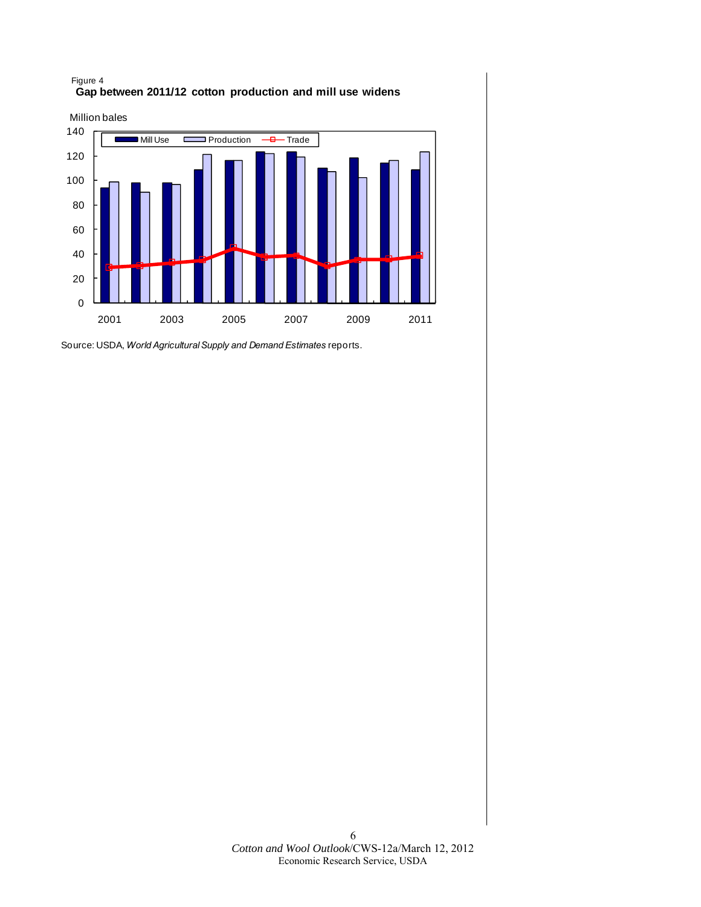



Source: USDA, *World Agricultural Supply and Demand Estimates* reports.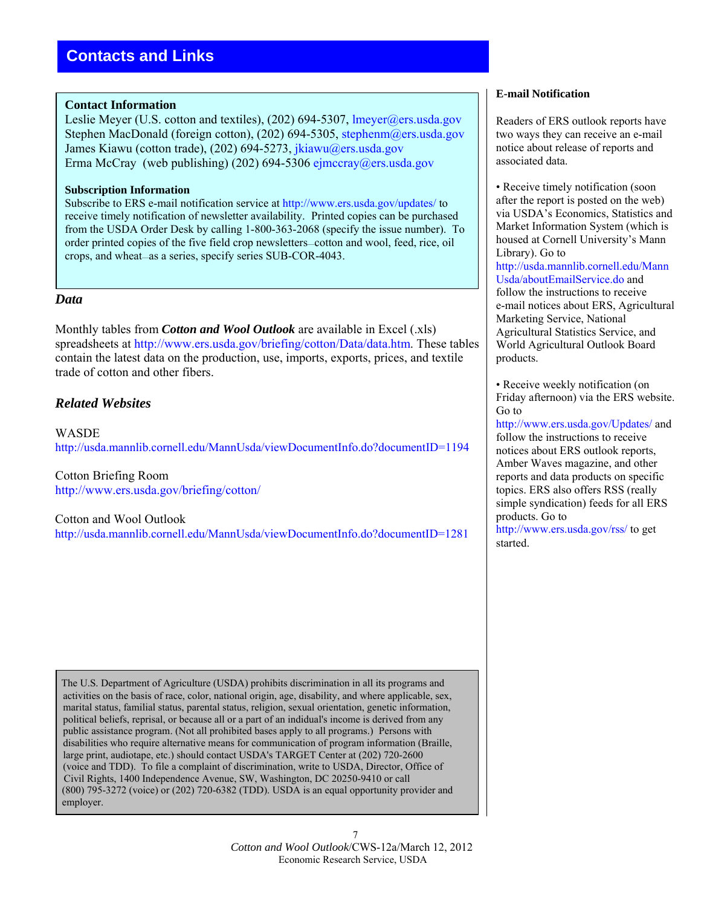#### <span id="page-6-0"></span>**Contact Information**

Leslie Meyer (U.S. cotton and textiles), (202) 694-5307, lmeyer@ers.usda.gov Stephen MacDonald (foreign cotton), (202) 694-5305, stephenm@ers.usda.gov James Kiawu (cotton trade), (202) 694-5273, [jkiawu@ers.usda.gov](mailto: jkiawu@ers.usda.gov) Erma McCray (web publishing) (202) 694-53[06 ejmccray@ers.usda.g](mailto: ejmccray@ers.usda.gov)ov

#### **Subscription Information**

Subscribe to ERS e-mail notification service at [http://www.ers.usda.gov/updates/ t](http://www.ers.usda.gov/updates/)o receive timely notification of newsletter availability. Printed copies can be purchased from the USDA Order Desk by calling 1-800-363-2068 (specify the issue number). To order printed copies of the five field crop newsletters—cotton and wool, feed, rice, oil crops, and wheat—as a series, specify series SUB-COR-4043.

#### *Data*

Monthly tables from *Cotton and Wool Outlook* are available in Excel (.xls) spreadsheets at [http://www.ers.usda.gov/briefing/cotton/Data/data.htm.](http://www.ers.usda.gov/briefing/cotton/data.htm) These tables contain the latest data on the production, use, imports, exports, prices, and textile trade of cotton and other fibers.

## *Related Websites*

WASDE <http://usda.mannlib.cornell.edu/MannUsda/viewDocumentInfo.do?documentID=1194>

Cotton Briefing Room <http://www.ers.usda.gov/briefing/cotton/>

 Cotton and Wool Outlook <http://usda.mannlib.cornell.edu/MannUsda/viewDocumentInfo.do?documentID=1281>

 The U.S. Department of Agriculture (USDA) prohibits discrimination in all its programs and activities on the basis of race, color, national origin, age, disability, and where applicable, sex, marital status, familial status, parental status, religion, sexual orientation, genetic information, political beliefs, reprisal, or because all or a part of an indidual's income is derived from any public assistance program. (Not all prohibited bases apply to all programs.) Persons with disabilities who require alternative means for communication of program information (Braille, large print, audiotape, etc.) should contact USDA's TARGET Center at (202) 720-2600 (voice and TDD). To file a complaint of discrimination, write to USDA, Director, Office of Civil Rights, 1400 Independence Avenue, SW, Washington, DC 20250-9410 or call (800) 795-3272 (voice) or (202) 720-6382 (TDD). USDA is an equal opportunity provider and employer.

#### **E-mail Notification**

Readers of ERS outlook reports have two ways they can receive an e-mail notice about release of reports and associated data.

• Receive timely notification (soon after the report is posted on the web) via USDA's Economics, Statistics and Market Information System (which is housed at Cornell University's Mann Library). Go to [http://usda.mannlib.cornell.edu/Mann](http://usda.mannlib.cornell.edu/MannUsda/aboutEmailService.do) [Usda/aboutEmailService.do](http://usda.mannlib.cornell.edu/MannUsda/aboutEmailService.do) and follow the instructions to receive e-mail notices about ERS, Agricultural Marketing Service, National Agricultural Statistics Service, and World Agricultural Outlook Board products.

• Receive weekly notification (on Friday afternoon) via the ERS website. Go to

[http://www.ers.usda.gov/Updates/](http://www.ers.usda.gov/updates/) and follow the instructions to receive notices about ERS outlook reports, Amber Waves magazine, and other reports and data products on specific topics. ERS also offers RSS (really simple syndication) feeds for all ERS products. Go to

<http://www.ers.usda.gov/rss/>to get started.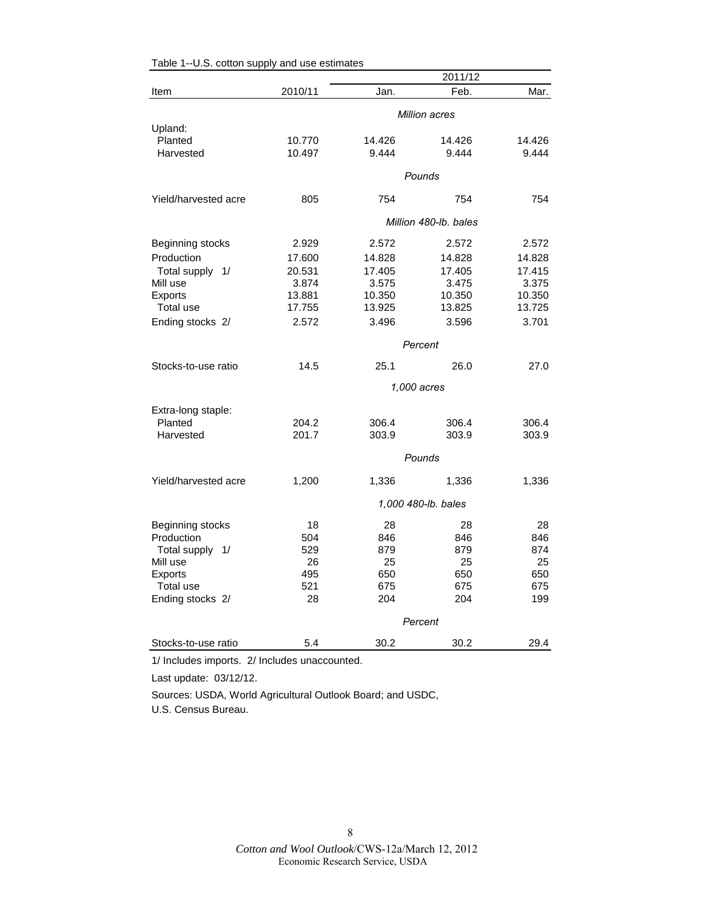| Feb.<br>2010/11<br>Item<br>Jan.<br><b>Million acres</b><br>Upland:<br>10.770<br>Planted<br>14.426<br>14.426<br>14.426<br>10.497<br>9.444<br>9.444<br>9.444<br>Harvested<br>Pounds<br>Yield/harvested acre<br>805<br>754<br>754<br>754<br>Million 480-lb. bales<br>Beginning stocks<br>2.572<br>2.572<br>2.572<br>2.929<br>Production<br>17.600<br>14.828<br>14.828<br>14.828<br>17.405<br>17.405<br>17.415<br>Total supply 1/<br>20.531<br>3.874<br>3.575<br>3.475<br>3.375<br>Mill use<br>10.350<br>Exports<br>13.881<br>10.350<br>10.350<br>Total use<br>17.755<br>13.925<br>13.825<br>13.725<br>2.572<br>3.701<br>Ending stocks 2/<br>3.496<br>3.596<br>Percent<br>Stocks-to-use ratio<br>14.5<br>25.1<br>26.0<br>27.0<br>1,000 acres<br>Extra-long staple:<br>Planted<br>204.2<br>306.4<br>306.4<br>306.4<br>Harvested<br>201.7<br>303.9<br>303.9<br>303.9<br>Pounds<br>Yield/harvested acre<br>1,200<br>1,336<br>1,336<br>1,336 |  |  | 2011/12 |      |  |  |
|--------------------------------------------------------------------------------------------------------------------------------------------------------------------------------------------------------------------------------------------------------------------------------------------------------------------------------------------------------------------------------------------------------------------------------------------------------------------------------------------------------------------------------------------------------------------------------------------------------------------------------------------------------------------------------------------------------------------------------------------------------------------------------------------------------------------------------------------------------------------------------------------------------------------------------------|--|--|---------|------|--|--|
|                                                                                                                                                                                                                                                                                                                                                                                                                                                                                                                                                                                                                                                                                                                                                                                                                                                                                                                                      |  |  |         | Mar. |  |  |
|                                                                                                                                                                                                                                                                                                                                                                                                                                                                                                                                                                                                                                                                                                                                                                                                                                                                                                                                      |  |  |         |      |  |  |
|                                                                                                                                                                                                                                                                                                                                                                                                                                                                                                                                                                                                                                                                                                                                                                                                                                                                                                                                      |  |  |         |      |  |  |
|                                                                                                                                                                                                                                                                                                                                                                                                                                                                                                                                                                                                                                                                                                                                                                                                                                                                                                                                      |  |  |         |      |  |  |
|                                                                                                                                                                                                                                                                                                                                                                                                                                                                                                                                                                                                                                                                                                                                                                                                                                                                                                                                      |  |  |         |      |  |  |
|                                                                                                                                                                                                                                                                                                                                                                                                                                                                                                                                                                                                                                                                                                                                                                                                                                                                                                                                      |  |  |         |      |  |  |
|                                                                                                                                                                                                                                                                                                                                                                                                                                                                                                                                                                                                                                                                                                                                                                                                                                                                                                                                      |  |  |         |      |  |  |
|                                                                                                                                                                                                                                                                                                                                                                                                                                                                                                                                                                                                                                                                                                                                                                                                                                                                                                                                      |  |  |         |      |  |  |
|                                                                                                                                                                                                                                                                                                                                                                                                                                                                                                                                                                                                                                                                                                                                                                                                                                                                                                                                      |  |  |         |      |  |  |
|                                                                                                                                                                                                                                                                                                                                                                                                                                                                                                                                                                                                                                                                                                                                                                                                                                                                                                                                      |  |  |         |      |  |  |
|                                                                                                                                                                                                                                                                                                                                                                                                                                                                                                                                                                                                                                                                                                                                                                                                                                                                                                                                      |  |  |         |      |  |  |
|                                                                                                                                                                                                                                                                                                                                                                                                                                                                                                                                                                                                                                                                                                                                                                                                                                                                                                                                      |  |  |         |      |  |  |
|                                                                                                                                                                                                                                                                                                                                                                                                                                                                                                                                                                                                                                                                                                                                                                                                                                                                                                                                      |  |  |         |      |  |  |
|                                                                                                                                                                                                                                                                                                                                                                                                                                                                                                                                                                                                                                                                                                                                                                                                                                                                                                                                      |  |  |         |      |  |  |
|                                                                                                                                                                                                                                                                                                                                                                                                                                                                                                                                                                                                                                                                                                                                                                                                                                                                                                                                      |  |  |         |      |  |  |
|                                                                                                                                                                                                                                                                                                                                                                                                                                                                                                                                                                                                                                                                                                                                                                                                                                                                                                                                      |  |  |         |      |  |  |
|                                                                                                                                                                                                                                                                                                                                                                                                                                                                                                                                                                                                                                                                                                                                                                                                                                                                                                                                      |  |  |         |      |  |  |
|                                                                                                                                                                                                                                                                                                                                                                                                                                                                                                                                                                                                                                                                                                                                                                                                                                                                                                                                      |  |  |         |      |  |  |
|                                                                                                                                                                                                                                                                                                                                                                                                                                                                                                                                                                                                                                                                                                                                                                                                                                                                                                                                      |  |  |         |      |  |  |
|                                                                                                                                                                                                                                                                                                                                                                                                                                                                                                                                                                                                                                                                                                                                                                                                                                                                                                                                      |  |  |         |      |  |  |
|                                                                                                                                                                                                                                                                                                                                                                                                                                                                                                                                                                                                                                                                                                                                                                                                                                                                                                                                      |  |  |         |      |  |  |
|                                                                                                                                                                                                                                                                                                                                                                                                                                                                                                                                                                                                                                                                                                                                                                                                                                                                                                                                      |  |  |         |      |  |  |
|                                                                                                                                                                                                                                                                                                                                                                                                                                                                                                                                                                                                                                                                                                                                                                                                                                                                                                                                      |  |  |         |      |  |  |
| 1,000 480-lb. bales                                                                                                                                                                                                                                                                                                                                                                                                                                                                                                                                                                                                                                                                                                                                                                                                                                                                                                                  |  |  |         |      |  |  |
| 18<br>28<br>28<br>Beginning stocks<br>28                                                                                                                                                                                                                                                                                                                                                                                                                                                                                                                                                                                                                                                                                                                                                                                                                                                                                             |  |  |         |      |  |  |
| Production<br>504<br>846<br>846<br>846                                                                                                                                                                                                                                                                                                                                                                                                                                                                                                                                                                                                                                                                                                                                                                                                                                                                                               |  |  |         |      |  |  |
| Total supply 1/<br>529<br>879<br>879<br>874                                                                                                                                                                                                                                                                                                                                                                                                                                                                                                                                                                                                                                                                                                                                                                                                                                                                                          |  |  |         |      |  |  |
| 25<br>Mill use<br>26<br>25<br>25                                                                                                                                                                                                                                                                                                                                                                                                                                                                                                                                                                                                                                                                                                                                                                                                                                                                                                     |  |  |         |      |  |  |
| Exports<br>495<br>650<br>650<br>650                                                                                                                                                                                                                                                                                                                                                                                                                                                                                                                                                                                                                                                                                                                                                                                                                                                                                                  |  |  |         |      |  |  |
| Total use<br>521<br>675<br>675<br>675                                                                                                                                                                                                                                                                                                                                                                                                                                                                                                                                                                                                                                                                                                                                                                                                                                                                                                |  |  |         |      |  |  |
| Ending stocks 2/<br>28<br>204<br>204<br>199                                                                                                                                                                                                                                                                                                                                                                                                                                                                                                                                                                                                                                                                                                                                                                                                                                                                                          |  |  |         |      |  |  |
| Percent                                                                                                                                                                                                                                                                                                                                                                                                                                                                                                                                                                                                                                                                                                                                                                                                                                                                                                                              |  |  |         |      |  |  |
| 5.4<br>30.2<br>29.4<br>Stocks-to-use ratio<br>30.2                                                                                                                                                                                                                                                                                                                                                                                                                                                                                                                                                                                                                                                                                                                                                                                                                                                                                   |  |  |         |      |  |  |

#### <span id="page-7-0"></span>Table 1--U.S. cotton supply and use estimates

1/ Includes imports. 2/ Includes unaccounted.

Last update: 03/12/12.

Sources: USDA, World Agricultural Outlook Board; and USDC, U.S. Census Bureau.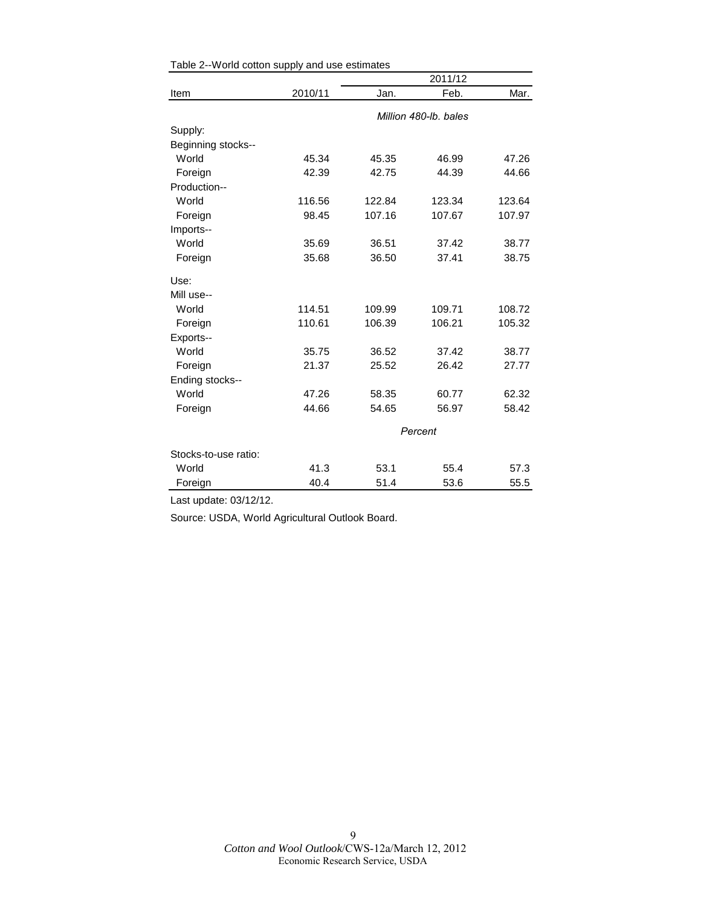|                      |         |                       | 2011/12 |        |  |
|----------------------|---------|-----------------------|---------|--------|--|
| Item                 | 2010/11 | Jan.                  | Feb.    | Mar.   |  |
|                      |         | Million 480-lb, bales |         |        |  |
| Supply:              |         |                       |         |        |  |
| Beginning stocks--   |         |                       |         |        |  |
| World                | 45.34   | 45.35                 | 46.99   | 47.26  |  |
| Foreign              | 42.39   | 42.75                 | 44.39   | 44.66  |  |
| Production--         |         |                       |         |        |  |
| World                | 116.56  | 122.84                | 123.34  | 123.64 |  |
| Foreign              | 98.45   | 107.16                | 107.67  | 107.97 |  |
| Imports--            |         |                       |         |        |  |
| World                | 35.69   | 36.51                 | 37.42   | 38.77  |  |
| Foreign              | 35.68   | 36.50                 | 37.41   | 38.75  |  |
| Use:                 |         |                       |         |        |  |
| Mill use--           |         |                       |         |        |  |
| World                | 114.51  | 109.99                | 109.71  | 108.72 |  |
| Foreign              | 110.61  | 106.39                | 106.21  | 105.32 |  |
| Exports--            |         |                       |         |        |  |
| World                | 35.75   | 36.52                 | 37.42   | 38.77  |  |
| Foreign              | 21.37   | 25.52                 | 26.42   | 27.77  |  |
| Ending stocks--      |         |                       |         |        |  |
| World                | 47.26   | 58.35                 | 60.77   | 62.32  |  |
| Foreign              | 44.66   | 54.65                 | 56.97   | 58.42  |  |
|                      |         | Percent               |         |        |  |
| Stocks-to-use ratio: |         |                       |         |        |  |
| World                | 41.3    | 53.1                  | 55.4    | 57.3   |  |
| Foreign              | 40.4    | 51.4                  | 53.6    | 55.5   |  |

<span id="page-8-0"></span>

Last update: 03/12/12.

Source: USDA, World Agricultural Outlook Board.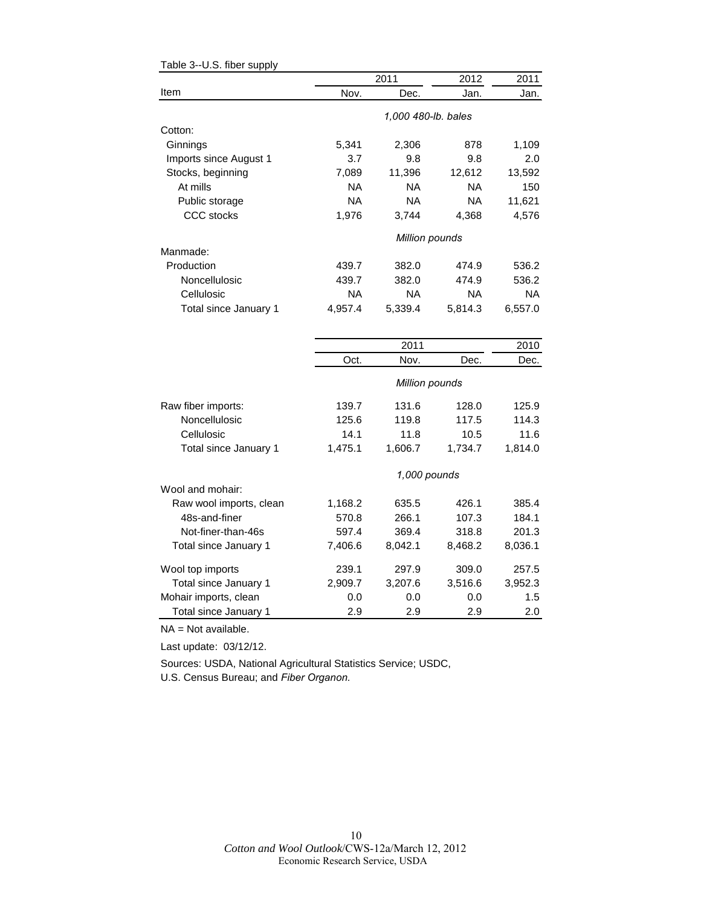|                         |           | 2011                | 2012      | 2011      |
|-------------------------|-----------|---------------------|-----------|-----------|
| Item                    | Nov.      | Dec.                | Jan.      | Jan.      |
|                         |           | 1,000 480-lb. bales |           |           |
| Cotton:                 |           |                     |           |           |
| Ginnings                | 5,341     | 2,306               | 878       | 1,109     |
| Imports since August 1  | 3.7       | 9.8                 | 9.8       | 2.0       |
| Stocks, beginning       | 7,089     | 11,396              | 12,612    | 13,592    |
| At mills                | NA.       | <b>NA</b>           | NA        | 150       |
| Public storage          | NA.       | <b>NA</b>           | NA        | 11,621    |
| CCC stocks              | 1,976     | 3,744               | 4,368     | 4,576     |
|                         |           | Million pounds      |           |           |
| Manmade:                |           |                     |           |           |
| Production              | 439.7     | 382.0               | 474.9     | 536.2     |
| Noncellulosic           | 439.7     | 382.0               | 474.9     | 536.2     |
| Cellulosic              | <b>NA</b> | <b>NA</b>           | <b>NA</b> | <b>NA</b> |
| Total since January 1   | 4,957.4   | 5,339.4             | 5,814.3   | 6,557.0   |
|                         |           |                     |           |           |
|                         |           | 2011                |           | 2010      |
|                         | Oct.      | Nov.                | Dec.      | Dec.      |
|                         |           | Million pounds      |           |           |
| Raw fiber imports:      | 139.7     | 131.6               | 128.0     | 125.9     |
| Noncellulosic           | 125.6     | 119.8               | 117.5     | 114.3     |
| Cellulosic              | 14.1      | 11.8                | 10.5      | 11.6      |
| Total since January 1   | 1,475.1   | 1,606.7             | 1,734.7   | 1,814.0   |
|                         |           | 1,000 pounds        |           |           |
| Wool and mohair:        |           |                     |           |           |
| Raw wool imports, clean | 1,168.2   | 635.5               | 426.1     | 385.4     |
| 48s-and-finer           | 570.8     | 266.1               | 107.3     | 184.1     |
| Not-finer-than-46s      | 597.4     | 369.4               | 318.8     | 201.3     |
| Total since January 1   | 7,406.6   | 8,042.1             | 8,468.2   | 8,036.1   |
| Wool top imports        | 239.1     | 297.9               | 309.0     | 257.5     |
| Total since January 1   | 2,909.7   | 3,207.6             | 3,516.6   | 3,952.3   |
| Mohair imports, clean   | 0.0       | 0.0                 | 0.0       | 1.5       |
| Total since January 1   | 2.9       | 2.9                 | 2.9       | 2.0       |

<span id="page-9-0"></span>Table 3--U.S. fiber supply

NA = Not available.

Last update: 03/12/12.

Sources: USDA, National Agricultural Statistics Service; USDC, U.S. Census Bureau; and *Fiber Organon.*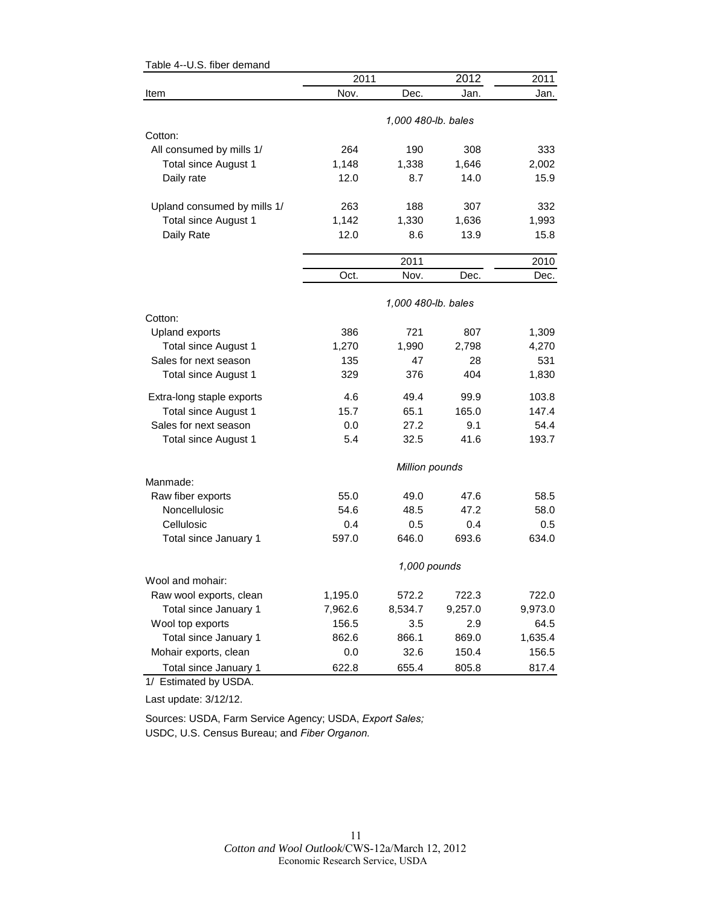| Table 4--0.5. fiber demand  | 2011    |                     | 2012    | 2011    |
|-----------------------------|---------|---------------------|---------|---------|
| Item                        | Nov.    | Dec.                | Jan.    | Jan.    |
|                             |         |                     |         |         |
|                             |         | 1,000 480-lb. bales |         |         |
| Cotton:                     |         |                     |         |         |
| All consumed by mills 1/    | 264     | 190                 | 308     | 333     |
| Total since August 1        | 1,148   | 1,338               | 1,646   | 2,002   |
| Daily rate                  | 12.0    | 8.7                 | 14.0    | 15.9    |
| Upland consumed by mills 1/ | 263     | 188                 | 307     | 332     |
| Total since August 1        | 1,142   | 1,330               | 1,636   | 1,993   |
| Daily Rate                  | 12.0    | 8.6                 | 13.9    | 15.8    |
|                             |         | 2011                |         | 2010    |
|                             | Oct.    | Nov.                | Dec.    | Dec.    |
|                             |         | 1,000 480-lb. bales |         |         |
| Cotton:                     |         |                     |         |         |
| Upland exports              | 386     | 721                 | 807     | 1,309   |
| Total since August 1        | 1,270   | 1,990               | 2,798   | 4,270   |
| Sales for next season       | 135     | 47                  | 28      | 531     |
| Total since August 1        | 329     | 376                 | 404     | 1,830   |
| Extra-long staple exports   | 4.6     | 49.4                | 99.9    | 103.8   |
| <b>Total since August 1</b> | 15.7    | 65.1                | 165.0   | 147.4   |
| Sales for next season       | 0.0     | 27.2                | 9.1     | 54.4    |
| Total since August 1        | 5.4     | 32.5                | 41.6    | 193.7   |
|                             |         | Million pounds      |         |         |
| Manmade:                    |         |                     |         |         |
| Raw fiber exports           | 55.0    | 49.0                | 47.6    | 58.5    |
| Noncellulosic               | 54.6    | 48.5                | 47.2    | 58.0    |
| Cellulosic                  | 0.4     | 0.5                 | 0.4     | 0.5     |
| Total since January 1       | 597.0   | 646.0               | 693.6   | 634.0   |
|                             |         | 1,000 pounds        |         |         |
| Wool and mohair:            |         |                     |         |         |
| Raw wool exports, clean     | 1,195.0 | 572.2               | 722.3   | 722.0   |
| Total since January 1       | 7,962.6 | 8,534.7             | 9,257.0 | 9,973.0 |
| Wool top exports            | 156.5   | 3.5                 | 2.9     | 64.5    |
| Total since January 1       | 862.6   | 866.1               | 869.0   | 1,635.4 |
| Mohair exports, clean       | 0.0     | 32.6                | 150.4   | 156.5   |
| Total since January 1       | 622.8   | 655.4               | 805.8   | 817.4   |

<span id="page-10-0"></span> $Table 4-118$  fiber demand

1/ Estimated by USDA.

Last update: 3/12/12.

Sources: USDA, Farm Service Agency; USDA, *Export Sales;* USDC, U.S. Census Bureau; and *Fiber Organon.*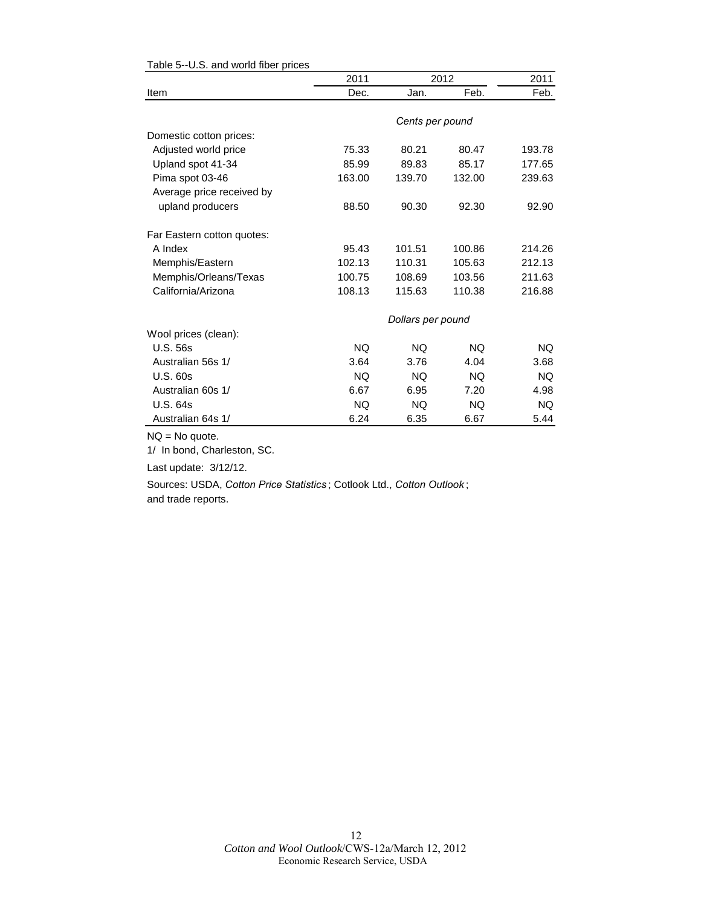|                            | 2011      |                   | 2012      | 2011      |
|----------------------------|-----------|-------------------|-----------|-----------|
| Item                       | Dec.      | Jan.              | Feb.      | Feb.      |
|                            |           | Cents per pound   |           |           |
| Domestic cotton prices:    |           |                   |           |           |
| Adjusted world price       | 75.33     | 80.21             | 80.47     | 193.78    |
| Upland spot 41-34          | 85.99     | 89.83             | 85.17     | 177.65    |
| Pima spot 03-46            | 163.00    | 139.70            | 132.00    | 239.63    |
| Average price received by  |           |                   |           |           |
| upland producers           | 88.50     | 90.30             | 92.30     | 92.90     |
| Far Eastern cotton quotes: |           |                   |           |           |
| A Index                    | 95.43     | 101.51            | 100.86    | 214.26    |
| Memphis/Eastern            | 102.13    | 110.31            | 105.63    | 212.13    |
| Memphis/Orleans/Texas      | 100.75    | 108.69            | 103.56    | 211.63    |
| California/Arizona         | 108.13    | 115.63            | 110.38    | 216.88    |
|                            |           | Dollars per pound |           |           |
| Wool prices (clean):       |           |                   |           |           |
| <b>U.S. 56s</b>            | NQ.       | NQ.               | <b>NQ</b> | NQ.       |
| Australian 56s 1/          | 3.64      | 3.76              | 4.04      | 3.68      |
| <b>U.S. 60s</b>            | <b>NQ</b> | <b>NQ</b>         | NQ.       | NQ.       |
| Australian 60s 1/          | 6.67      | 6.95              | 7.20      | 4.98      |
| <b>U.S. 64s</b>            | <b>NQ</b> | <b>NQ</b>         | <b>NQ</b> | <b>NQ</b> |
| Australian 64s 1/          | 6.24      | 6.35              | 6.67      | 5.44      |

#### <span id="page-11-0"></span>Table 5--U.S. and world fiber prices

NQ = No quote.

1/ In bond, Charleston, SC.

Last update: 3/12/12.

Sources: USDA, *Cotton Price Statistics* ; Cotlook Ltd., *Cotton Outlook* ; and trade reports.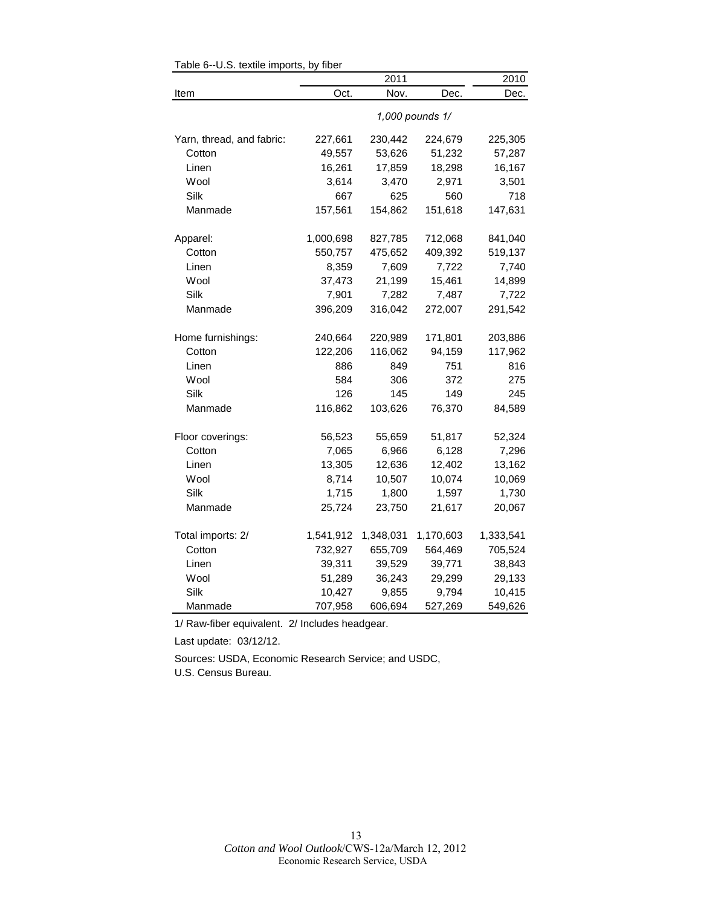|                           |           | 2011      |                 | 2010      |
|---------------------------|-----------|-----------|-----------------|-----------|
| Item                      | Oct.      | Nov.      | Dec.            | Dec.      |
|                           |           |           | 1,000 pounds 1/ |           |
| Yarn, thread, and fabric: | 227,661   | 230,442   | 224,679         | 225,305   |
| Cotton                    | 49,557    | 53,626    | 51,232          | 57,287    |
| Linen                     | 16,261    | 17,859    | 18,298          | 16,167    |
| Wool                      | 3,614     | 3,470     | 2,971           | 3,501     |
| Silk                      | 667       | 625       | 560             | 718       |
| Manmade                   | 157,561   | 154,862   | 151,618         | 147,631   |
| Apparel:                  | 1,000,698 | 827,785   | 712,068         | 841,040   |
| Cotton                    | 550,757   | 475,652   | 409,392         | 519,137   |
| Linen                     | 8,359     | 7,609     | 7,722           | 7,740     |
| Wool                      | 37,473    | 21,199    | 15,461          | 14,899    |
| Silk                      | 7,901     | 7,282     | 7,487           | 7,722     |
| Manmade                   | 396,209   | 316,042   | 272,007         | 291,542   |
| Home furnishings:         | 240,664   | 220,989   | 171,801         | 203,886   |
| Cotton                    | 122,206   | 116,062   | 94,159          | 117,962   |
| Linen                     | 886       | 849       | 751             | 816       |
| Wool                      | 584       | 306       | 372             | 275       |
| Silk                      | 126       | 145       | 149             | 245       |
| Manmade                   | 116,862   | 103,626   | 76,370          | 84,589    |
| Floor coverings:          | 56,523    | 55,659    | 51,817          | 52,324    |
| Cotton                    | 7,065     | 6,966     | 6,128           | 7,296     |
| Linen                     | 13,305    | 12,636    | 12,402          | 13,162    |
| Wool                      | 8,714     | 10,507    | 10,074          | 10,069    |
| Silk                      | 1,715     | 1,800     | 1,597           | 1,730     |
| Manmade                   | 25,724    | 23,750    | 21,617          | 20,067    |
| Total imports: 2/         | 1,541,912 | 1,348,031 | 1,170,603       | 1,333,541 |
| Cotton                    | 732,927   | 655,709   | 564,469         | 705,524   |
| Linen                     | 39,311    | 39,529    | 39,771          | 38,843    |
| Wool                      | 51,289    | 36,243    | 29,299          | 29,133    |
| Silk                      | 10,427    | 9,855     | 9,794           | 10,415    |
| Manmade                   | 707,958   | 606,694   | 527,269         | 549,626   |

<span id="page-12-0"></span>Table 6--U.S. textile imports, by fiber

1/ Raw-fiber equivalent. 2/ Includes headgear.

Last update: 03/12/12.

Sources: USDA, Economic Research Service; and USDC, U.S. Census Bureau.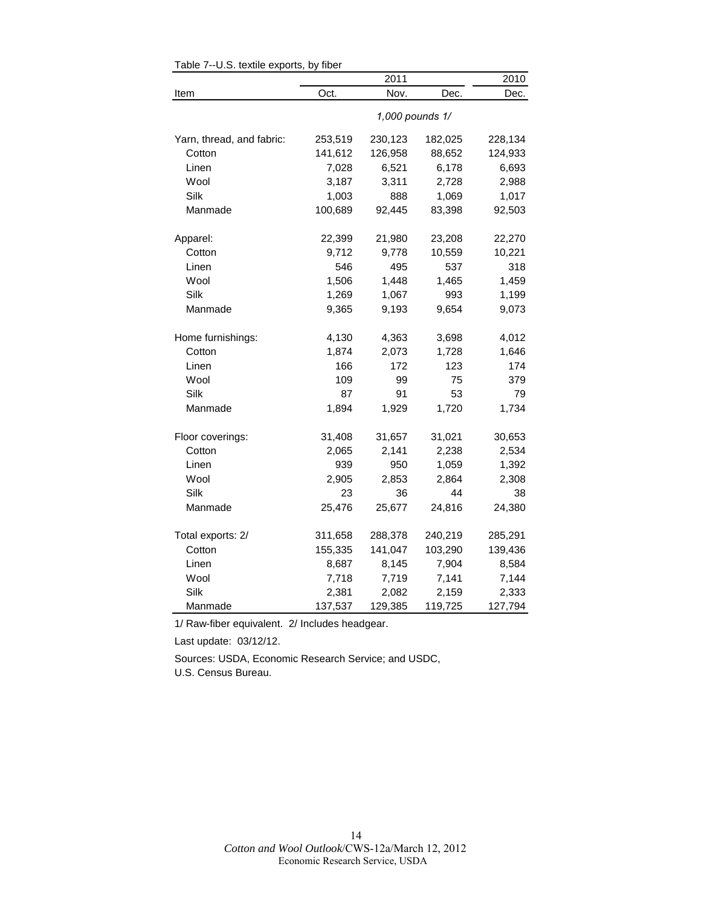|                           |         | 2011            |         | 2010    |
|---------------------------|---------|-----------------|---------|---------|
| Item                      | Oct.    | Nov.            | Dec.    | Dec.    |
|                           |         | 1,000 pounds 1/ |         |         |
| Yarn, thread, and fabric: | 253,519 | 230,123         | 182,025 | 228,134 |
| Cotton                    | 141,612 | 126,958         | 88,652  | 124,933 |
| Linen                     | 7,028   | 6,521           | 6,178   | 6,693   |
| Wool                      | 3,187   | 3,311           | 2,728   | 2,988   |
| Silk                      | 1,003   | 888             | 1,069   | 1,017   |
| Manmade                   | 100,689 | 92,445          | 83,398  | 92,503  |
| Apparel:                  | 22,399  | 21,980          | 23,208  | 22,270  |
| Cotton                    | 9,712   | 9,778           | 10,559  | 10,221  |
| Linen                     | 546     | 495             | 537     | 318     |
| Wool                      | 1,506   | 1,448           | 1,465   | 1,459   |
| Silk                      | 1,269   | 1,067           | 993     | 1,199   |
| Manmade                   | 9,365   | 9,193           | 9,654   | 9,073   |
| Home furnishings:         | 4,130   | 4,363           | 3,698   | 4,012   |
| Cotton                    | 1,874   | 2,073           | 1,728   | 1,646   |
| Linen                     | 166     | 172             | 123     | 174     |
| Wool                      | 109     | 99              | 75      | 379     |
| Silk                      | 87      | 91              | 53      | 79      |
| Manmade                   | 1,894   | 1,929           | 1,720   | 1,734   |
| Floor coverings:          | 31,408  | 31,657          | 31,021  | 30,653  |
| Cotton                    | 2,065   | 2,141           | 2,238   | 2,534   |
| Linen                     | 939     | 950             | 1,059   | 1,392   |
| Wool                      | 2,905   | 2,853           | 2,864   | 2,308   |
| Silk                      | 23      | 36              | 44      | 38      |
| Manmade                   | 25,476  | 25,677          | 24,816  | 24,380  |
| Total exports: 2/         | 311,658 | 288,378         | 240,219 | 285,291 |
| Cotton                    | 155,335 | 141,047         | 103,290 | 139,436 |
| Linen                     | 8,687   | 8,145           | 7,904   | 8,584   |
| Wool                      | 7,718   | 7,719           | 7,141   | 7,144   |
| Silk                      | 2,381   | 2,082           | 2,159   | 2,333   |
| Manmade                   | 137,537 | 129,385         | 119,725 | 127,794 |

<span id="page-13-0"></span>Table 7--U.S. textile exports, by fiber

1/ Raw-fiber equivalent. 2/ Includes headgear.

Last update: 03/12/12.

Sources: USDA, Economic Research Service; and USDC,

U.S. Census Bureau.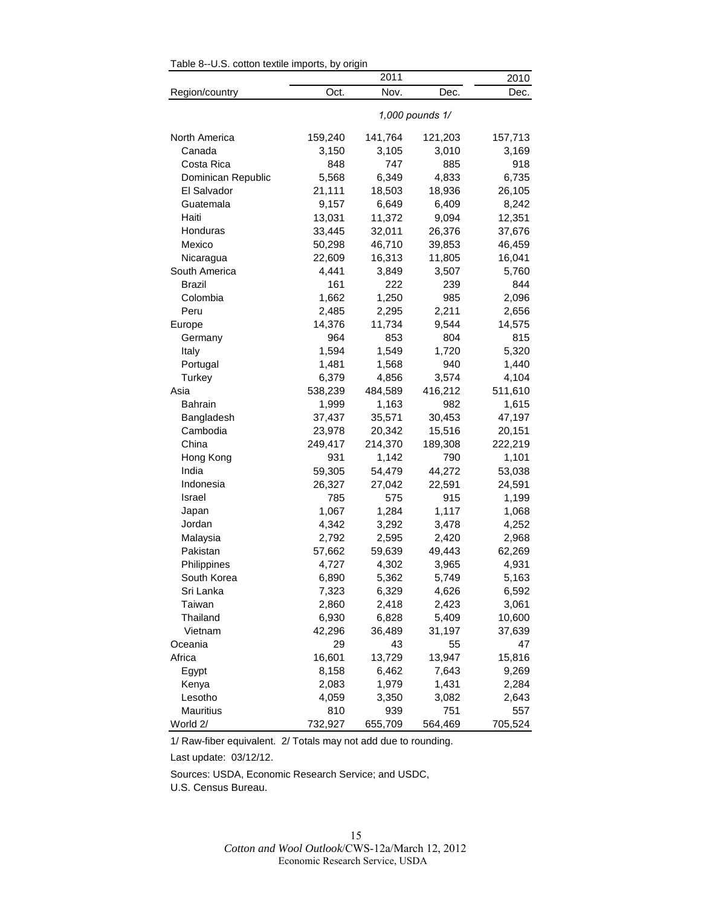|                    |         | 2011    |                 | 2010    |
|--------------------|---------|---------|-----------------|---------|
| Region/country     | Oct.    | Nov.    | Dec.            | Dec.    |
|                    |         |         | 1,000 pounds 1/ |         |
| North America      | 159,240 | 141,764 | 121,203         | 157,713 |
| Canada             | 3,150   | 3,105   | 3,010           | 3,169   |
| Costa Rica         | 848     | 747     | 885             | 918     |
| Dominican Republic | 5,568   | 6,349   | 4,833           | 6,735   |
| El Salvador        | 21,111  | 18,503  | 18,936          | 26,105  |
| Guatemala          | 9,157   | 6,649   | 6,409           | 8,242   |
| Haiti              | 13,031  | 11,372  | 9,094           | 12,351  |
| Honduras           | 33,445  | 32,011  | 26,376          | 37,676  |
| Mexico             | 50,298  | 46,710  | 39,853          | 46,459  |
| Nicaragua          | 22,609  | 16,313  | 11,805          | 16,041  |
| South America      | 4,441   | 3,849   | 3,507           | 5,760   |
| <b>Brazil</b>      | 161     | 222     | 239             | 844     |
| Colombia           | 1,662   | 1,250   | 985             | 2,096   |
| Peru               | 2,485   | 2,295   | 2,211           | 2,656   |
| Europe             | 14,376  | 11,734  | 9,544           | 14,575  |
| Germany            | 964     | 853     | 804             | 815     |
| Italy              | 1,594   | 1,549   | 1,720           | 5,320   |
| Portugal           | 1,481   | 1,568   | 940             | 1,440   |
| Turkey             | 6,379   | 4,856   | 3,574           | 4,104   |
| Asia               | 538,239 | 484,589 | 416,212         | 511,610 |
| Bahrain            | 1,999   | 1,163   | 982             | 1,615   |
| Bangladesh         | 37,437  | 35,571  | 30,453          | 47,197  |
| Cambodia           | 23,978  | 20,342  | 15,516          | 20,151  |
| China              | 249,417 | 214,370 | 189,308         | 222,219 |
| Hong Kong          | 931     | 1,142   | 790             | 1,101   |
| India              | 59,305  | 54,479  | 44,272          | 53,038  |
| Indonesia          | 26,327  | 27,042  | 22,591          | 24,591  |
| Israel             | 785     | 575     | 915             | 1,199   |
| Japan              | 1,067   | 1,284   | 1,117           | 1,068   |
| Jordan             | 4,342   | 3,292   | 3,478           | 4,252   |
| Malaysia           | 2,792   | 2,595   | 2,420           | 2,968   |
| Pakistan           | 57,662  | 59,639  | 49,443          | 62,269  |
| Philippines        | 4,727   | 4,302   | 3,965           | 4,931   |
| South Korea        | 6,890   | 5,362   | 5,749           | 5,163   |
| Sri Lanka          | 7,323   | 6,329   | 4,626           | 6,592   |
| Taiwan             | 2,860   | 2,418   | 2,423           | 3,061   |
| Thailand           | 6,930   | 6,828   | 5,409           | 10,600  |
| Vietnam            | 42,296  | 36,489  | 31,197          | 37,639  |
| Oceania            | 29      | 43      | 55              | 47      |
| Africa             | 16,601  | 13,729  | 13,947          | 15,816  |
| Egypt              | 8,158   | 6,462   | 7,643           | 9,269   |
| Kenya              | 2,083   | 1,979   | 1,431           | 2,284   |
| Lesotho            | 4,059   | 3,350   | 3,082           | 2,643   |
| Mauritius          | 810     | 939     | 751             | 557     |
| World 2/           | 732,927 | 655,709 | 564,469         | 705,524 |

<span id="page-14-0"></span>Table 8--U.S. cotton textile imports, by origin

Last update: 03/12/12.

Sources: USDA, Economic Research Service; and USDC, U.S. Census Bureau.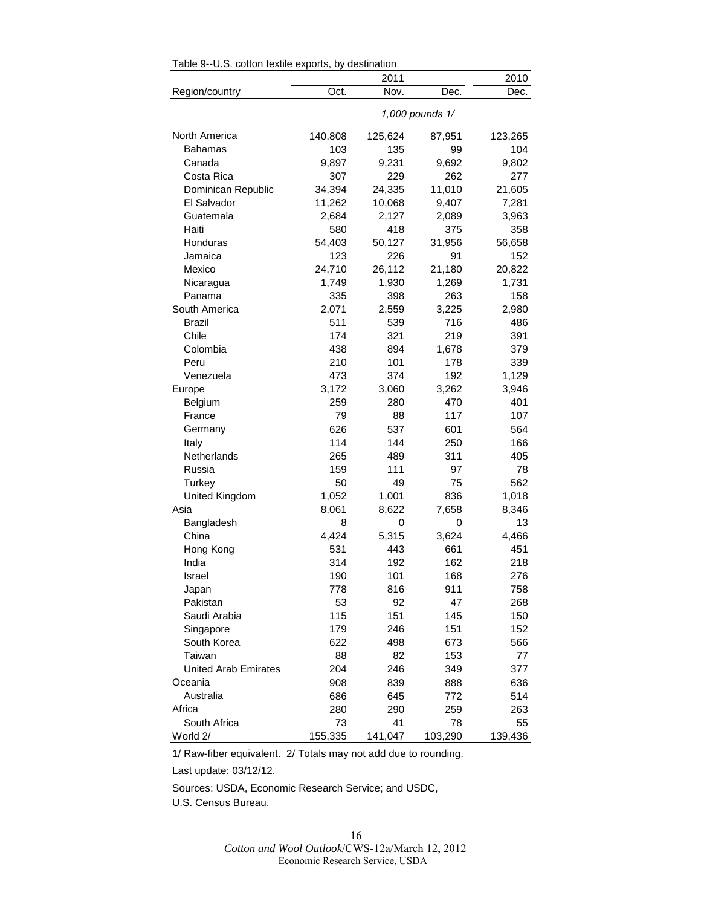|                             |         | 2011            |         | 2010    |  |  |  |
|-----------------------------|---------|-----------------|---------|---------|--|--|--|
| Region/country              | Oct.    | Nov.            | Dec.    | Dec.    |  |  |  |
|                             |         | 1,000 pounds 1/ |         |         |  |  |  |
| North America               | 140,808 | 125,624         | 87,951  | 123,265 |  |  |  |
| Bahamas                     | 103     | 135             | 99      | 104     |  |  |  |
| Canada                      | 9,897   | 9,231           | 9,692   | 9,802   |  |  |  |
| Costa Rica                  | 307     | 229             | 262     | 277     |  |  |  |
| Dominican Republic          | 34,394  | 24,335          | 11,010  | 21,605  |  |  |  |
| El Salvador                 | 11,262  | 10,068          | 9,407   | 7,281   |  |  |  |
| Guatemala                   | 2,684   | 2,127           | 2,089   | 3,963   |  |  |  |
| Haiti                       | 580     | 418             | 375     | 358     |  |  |  |
| Honduras                    | 54,403  | 50,127          | 31,956  | 56,658  |  |  |  |
| Jamaica                     | 123     | 226             | 91      | 152     |  |  |  |
| Mexico                      | 24,710  | 26,112          | 21,180  | 20,822  |  |  |  |
| Nicaragua                   | 1,749   | 1,930           | 1,269   | 1,731   |  |  |  |
| Panama                      | 335     | 398             | 263     | 158     |  |  |  |
| South America               | 2,071   | 2,559           | 3,225   | 2,980   |  |  |  |
| Brazil                      | 511     | 539             | 716     | 486     |  |  |  |
| Chile                       | 174     | 321             | 219     | 391     |  |  |  |
| Colombia                    | 438     | 894             | 1,678   | 379     |  |  |  |
| Peru                        | 210     | 101             | 178     | 339     |  |  |  |
| Venezuela                   | 473     | 374             | 192     | 1,129   |  |  |  |
| Europe                      | 3,172   | 3,060           | 3,262   | 3,946   |  |  |  |
| Belgium                     | 259     | 280             | 470     | 401     |  |  |  |
| France                      | 79      | 88              | 117     | 107     |  |  |  |
| Germany                     | 626     | 537             | 601     | 564     |  |  |  |
| Italy                       | 114     | 144             | 250     | 166     |  |  |  |
| Netherlands                 | 265     | 489             | 311     | 405     |  |  |  |
| Russia                      | 159     | 111             | 97      | 78      |  |  |  |
| Turkey                      | 50      | 49              | 75      | 562     |  |  |  |
| United Kingdom              | 1,052   | 1,001           | 836     | 1,018   |  |  |  |
| Asia                        | 8,061   | 8,622           | 7,658   | 8,346   |  |  |  |
| Bangladesh                  | 8       | 0               | 0       | 13      |  |  |  |
| China                       | 4,424   | 5,315           | 3,624   | 4,466   |  |  |  |
| Hong Kong                   | 531     | 443             | 661     | 451     |  |  |  |
| India                       | 314     | 192             | 162     | 218     |  |  |  |
| Israel                      | 190     | 101             | 168     | 276     |  |  |  |
| Japan                       | 778     | 816             | 911     | 758     |  |  |  |
| Pakistan                    | 53      | 92              | 47      | 268     |  |  |  |
| Saudi Arabia                | 115     | 151             | 145     | 150     |  |  |  |
| Singapore                   | 179     | 246             | 151     | 152     |  |  |  |
| South Korea                 | 622     | 498             | 673     | 566     |  |  |  |
| Taiwan                      | 88      | 82              | 153     | 77      |  |  |  |
| <b>United Arab Emirates</b> | 204     | 246             | 349     | 377     |  |  |  |
| Oceania                     | 908     | 839             | 888     | 636     |  |  |  |
| Australia                   | 686     | 645             | 772     | 514     |  |  |  |
| Africa                      | 280     | 290             | 259     | 263     |  |  |  |
| South Africa                | 73      | 41              | 78      | 55      |  |  |  |
| World 2/                    | 155,335 | 141,047         | 103,290 | 139,436 |  |  |  |

<span id="page-15-0"></span>Table 9--U.S. cotton textile exports, by destination

Last update: 03/12/12.

Sources: USDA, Economic Research Service; and USDC,

U.S. Census Bureau.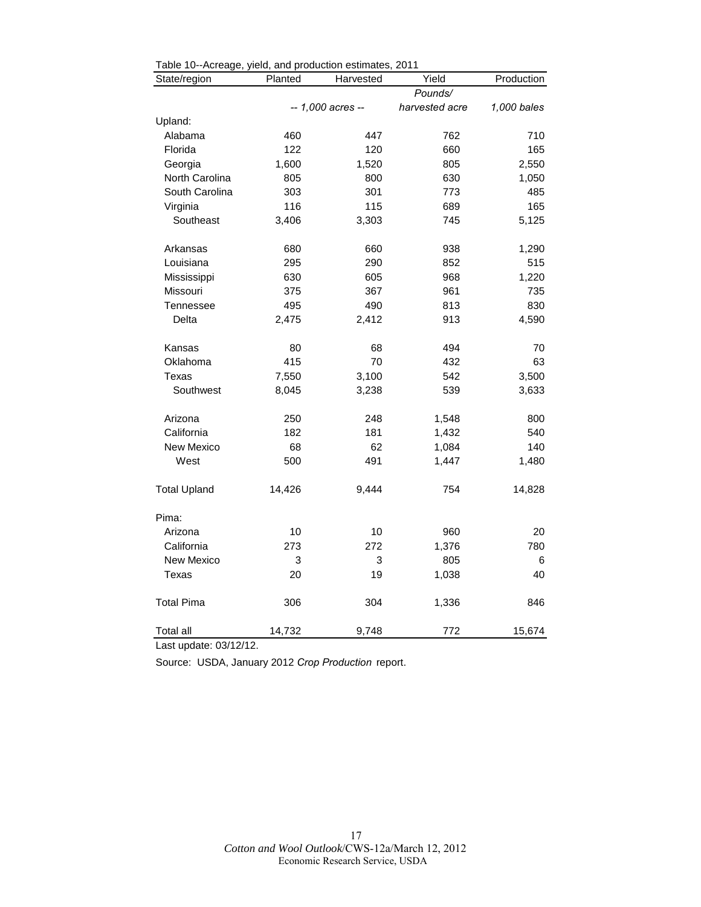| Table 10--Acreage, yield, and production estimates, 2011<br>State/region | Planted | Harvested         | Yield          | Production  |
|--------------------------------------------------------------------------|---------|-------------------|----------------|-------------|
|                                                                          |         |                   | Pounds/        |             |
|                                                                          |         | -- 1,000 acres -- | harvested acre | 1,000 bales |
| Upland:                                                                  |         |                   |                |             |
| Alabama                                                                  | 460     | 447               | 762            | 710         |
| Florida                                                                  | 122     | 120               | 660            | 165         |
| Georgia                                                                  | 1,600   | 1,520             | 805            | 2,550       |
| North Carolina                                                           | 805     | 800               | 630            | 1,050       |
| South Carolina                                                           | 303     | 301               | 773            | 485         |
| Virginia                                                                 | 116     | 115               | 689            | 165         |
| Southeast                                                                | 3,406   | 3,303             | 745            | 5,125       |
| Arkansas                                                                 | 680     | 660               | 938            | 1,290       |
| Louisiana                                                                | 295     | 290               | 852            | 515         |
| Mississippi                                                              | 630     | 605               | 968            | 1,220       |
| Missouri                                                                 | 375     | 367               | 961            | 735         |
| <b>Tennessee</b>                                                         | 495     | 490               | 813            | 830         |
| Delta                                                                    | 2,475   | 2,412             | 913            | 4,590       |
| Kansas                                                                   | 80      | 68                | 494            | 70          |
| Oklahoma                                                                 | 415     | 70                | 432            | 63          |
| Texas                                                                    | 7,550   | 3,100             | 542            | 3,500       |
| Southwest                                                                | 8,045   | 3,238             | 539            | 3,633       |
| Arizona                                                                  | 250     | 248               | 1,548          | 800         |
| California                                                               | 182     | 181               | 1,432          | 540         |
| New Mexico                                                               | 68      | 62                | 1,084          | 140         |
| West                                                                     | 500     | 491               | 1,447          | 1,480       |
| <b>Total Upland</b>                                                      | 14,426  | 9,444             | 754            | 14,828      |
| Pima:                                                                    |         |                   |                |             |
| Arizona                                                                  | 10      | 10                | 960            | 20          |
| California                                                               | 273     | 272               | 1,376          | 780         |
| New Mexico                                                               | 3       | 3                 | 805            | 6           |
| Texas                                                                    | 20      | 19                | 1,038          | 40          |
| <b>Total Pima</b>                                                        | 306     | 304               | 1,336          | 846         |
| Total all                                                                | 14,732  | 9,748             | 772            | 15,674      |

<span id="page-16-0"></span>

| Table 10--Acreage, yield, and production estimates, 2011 |  |  |  |
|----------------------------------------------------------|--|--|--|
|                                                          |  |  |  |

Last update: 03/12/12.

Source: USDA, January 2012 *Crop Production* report.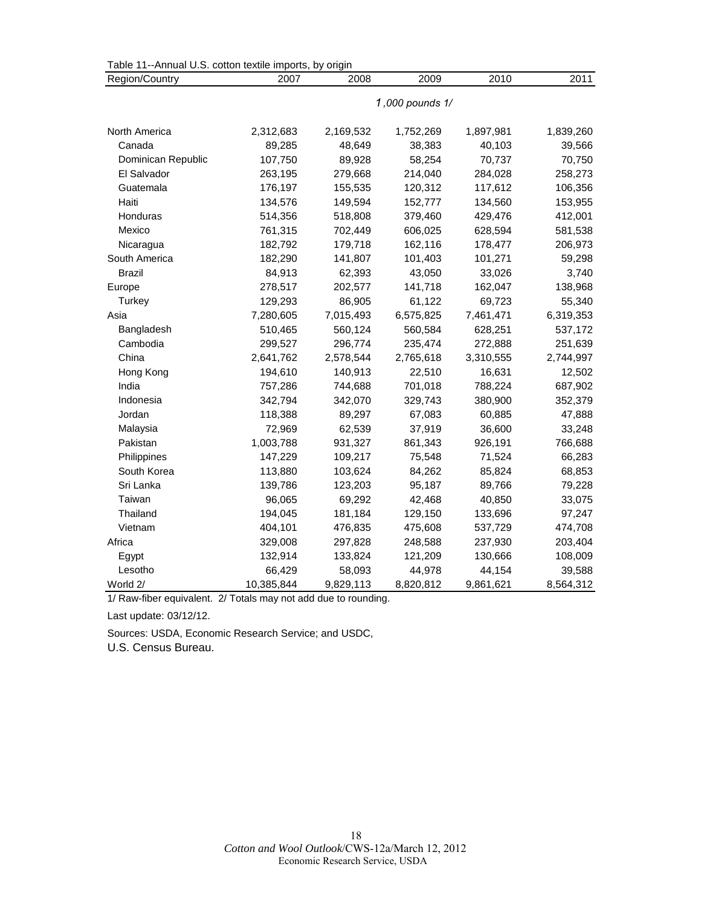<span id="page-17-0"></span>

| Table 11--Annual U.S. cotton textile imports, by origin |                 |           |           |           |           |  |  |  |  |
|---------------------------------------------------------|-----------------|-----------|-----------|-----------|-----------|--|--|--|--|
| Region/Country                                          | 2007            | 2008      | 2009      | 2010      | 2011      |  |  |  |  |
|                                                         | 1,000 pounds 1/ |           |           |           |           |  |  |  |  |
|                                                         |                 |           |           |           |           |  |  |  |  |
| North America                                           | 2,312,683       | 2,169,532 | 1,752,269 | 1,897,981 | 1,839,260 |  |  |  |  |
| Canada                                                  | 89,285          | 48,649    | 38,383    | 40,103    | 39,566    |  |  |  |  |
| Dominican Republic                                      | 107,750         | 89,928    | 58,254    | 70,737    | 70,750    |  |  |  |  |
| El Salvador                                             | 263,195         | 279,668   | 214,040   | 284,028   | 258,273   |  |  |  |  |
| Guatemala                                               | 176,197         | 155,535   | 120,312   | 117,612   | 106,356   |  |  |  |  |
| Haiti                                                   | 134,576         | 149,594   | 152,777   | 134,560   | 153,955   |  |  |  |  |
| Honduras                                                | 514,356         | 518,808   | 379,460   | 429,476   | 412,001   |  |  |  |  |
| Mexico                                                  | 761,315         | 702,449   | 606,025   | 628,594   | 581,538   |  |  |  |  |
| Nicaragua                                               | 182,792         | 179,718   | 162,116   | 178,477   | 206,973   |  |  |  |  |
| South America                                           | 182,290         | 141,807   | 101,403   | 101,271   | 59,298    |  |  |  |  |
| <b>Brazil</b>                                           | 84,913          | 62,393    | 43,050    | 33,026    | 3,740     |  |  |  |  |
| Europe                                                  | 278,517         | 202,577   | 141,718   | 162,047   | 138,968   |  |  |  |  |
| Turkey                                                  | 129,293         | 86,905    | 61,122    | 69,723    | 55,340    |  |  |  |  |
| Asia                                                    | 7,280,605       | 7,015,493 | 6,575,825 | 7,461,471 | 6,319,353 |  |  |  |  |
| Bangladesh                                              | 510,465         | 560,124   | 560,584   | 628,251   | 537,172   |  |  |  |  |
| Cambodia                                                | 299,527         | 296,774   | 235,474   | 272,888   | 251,639   |  |  |  |  |
| China                                                   | 2,641,762       | 2,578,544 | 2,765,618 | 3,310,555 | 2,744,997 |  |  |  |  |
| Hong Kong                                               | 194,610         | 140,913   | 22,510    | 16,631    | 12,502    |  |  |  |  |
| India                                                   | 757,286         | 744,688   | 701,018   | 788,224   | 687,902   |  |  |  |  |
| Indonesia                                               | 342,794         | 342,070   | 329,743   | 380,900   | 352,379   |  |  |  |  |
| Jordan                                                  | 118,388         | 89,297    | 67,083    | 60,885    | 47,888    |  |  |  |  |
| Malaysia                                                | 72,969          | 62,539    | 37,919    | 36,600    | 33,248    |  |  |  |  |
| Pakistan                                                | 1,003,788       | 931,327   | 861,343   | 926,191   | 766,688   |  |  |  |  |
| Philippines                                             | 147,229         | 109,217   | 75,548    | 71,524    | 66,283    |  |  |  |  |
| South Korea                                             | 113,880         | 103,624   | 84,262    | 85,824    | 68,853    |  |  |  |  |
| Sri Lanka                                               | 139,786         | 123,203   | 95,187    | 89,766    | 79,228    |  |  |  |  |
| Taiwan                                                  | 96,065          | 69,292    | 42,468    | 40,850    | 33,075    |  |  |  |  |
| Thailand                                                | 194,045         | 181,184   | 129,150   | 133,696   | 97,247    |  |  |  |  |
| Vietnam                                                 | 404,101         | 476,835   | 475,608   | 537,729   | 474,708   |  |  |  |  |
| Africa                                                  | 329,008         | 297,828   | 248,588   | 237,930   | 203,404   |  |  |  |  |
| Egypt                                                   | 132,914         | 133,824   | 121,209   | 130,666   | 108,009   |  |  |  |  |
| Lesotho                                                 | 66,429          | 58,093    | 44,978    | 44,154    | 39,588    |  |  |  |  |
| World 2/                                                | 10,385,844      | 9,829,113 | 8,820,812 | 9,861,621 | 8,564,312 |  |  |  |  |

Last update: 03/12/12.

Sources: USDA, Economic Research Service; and USDC, U.S. Census Bureau.